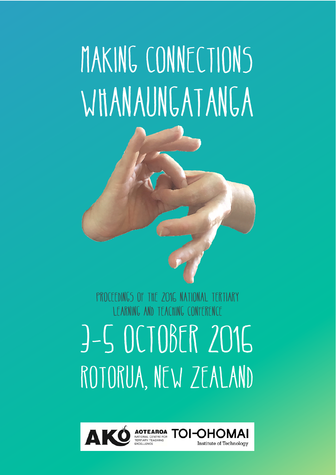# MAKING CONNECTIONS WHANAUNGATANGA



### Proceedings of the 2016 National Tertiary Learning and Teaching Conference 3-5 October 2016 ROTORUA, NEW ZEALAND

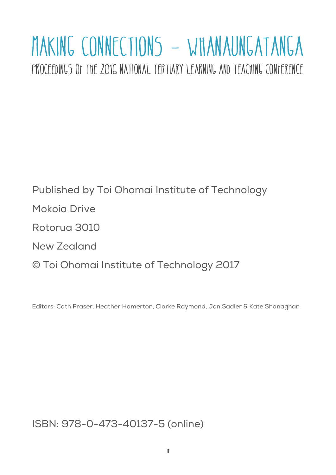## MAKING CONNECTIONS - WHANAUNGATANGA

PROCEEDINGS OF THE 2016 NATIONAL TERTIARY LEARNING AND TEACHING CONFERENCE

Published by Toi Ohomai Institute of Technology Mokoia Drive Rotorua 3010 New Zealand © Toi Ohomai Institute of Technology 2017

Editors: Cath Fraser, Heather Hamerton, Clarke Raymond, Jon Sadler & Kate Shanaghan

ISBN: 978-0-473-40137-5 (online)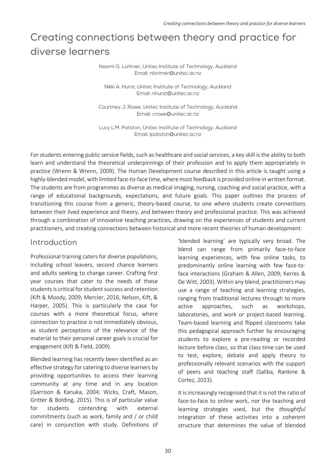#### Creating connections between theory and practice for diverse learners

Naomi G. Lorimer, Unitec Institute of Technology, Auckland Email: nlorimer@unitec.ac.nz

Nikki A. Hurst, Unitec Institute of Technology, Auckland Email: nhurst@unitec.ac.nz

Courtney J. Rowe, Unitec Institute of Technology, Auckland Email: crowe@unitec.ac.nz

Lucy L.M. Patston, Unitec Institute of Technology, Auckland Email: lpatston@unitec.ac.nz

For students entering public service fields, such as healthcare and social services, a key skill is the ability to both learn and understand the theoretical underpinnings of their profession and to apply them appropriately in practice (Wrenn & Wrenn, 2009). The Human Development course described in this article is taught using a highly-blended model, with limited face-to-face time, where most feedback is provided online in written format. The students are from programmes as diverse as medical imaging, nursing, coaching and social practice, with a range of educational backgrounds, expectations, and future goals. This paper outlines the process of transitioning this course from a generic, theory-based course, to one where students create connections between their lived experience and theory, and between theory and professional practice. This was achieved through a combination of innovative teaching practices, drawing on the experiences of students and current practitioners, and creating connections between historical and more recent theories of human development.

#### Introduction

Professional training caters for diverse populations, including school leavers, second chance learners and adults seeking to change career. Crafting first year courses that cater to the needs of these students is critical for student success and retention (Kift & Moody, 2009; Mercier, 2016; Nelson, Kift, & Harper, 2005). This is particularly the case for courses with a more theoretical focus, where connection to practice is not immediately obvious, as student perceptions of the relevance of the material to their personal career goals is crucial for engagement (Kift & Field, 2009).

Blended learning has recently been identified as an effective strategy for catering to diverse learners by providing opportunities to access their learning community at any time and in any location (Garrison & Kanuka, 2004; Wicks, Craft, Mason, Gritter & Bolding, 2015). This is of particular value for students contending with external commitments (such as work, family and / or child care) in conjunction with study. Definitions of 'blended learning' are typically very broad. The blend can range from primarily face‐to‐face learning experiences, with few online tasks, to predominantly online learning with few face-toface interactions (Graham & Allen, 2009; Kerres & De Witt, 2003). Within any blend, practitioners may use a range of teaching and learning strategies, ranging from traditional lectures through to more active approaches, such as workshops, laboratories, and work or project-based learning. Team‐based learning and flipped classrooms take this pedagogical approach further by encouraging students to explore a pre-reading or recorded lecture before class, so that class time can be used to test, explore, debate and apply theory to professionally relevant scenarios with the support of peers and teaching staff (Saliba, Rankine & Cortez, 2013).

It is increasingly recognised that it is not the ratio of face-to-face to online work, nor the teaching and learning strategies used, but the *thoughtful*  integration of these activities into a coherent structure that determines the value of blended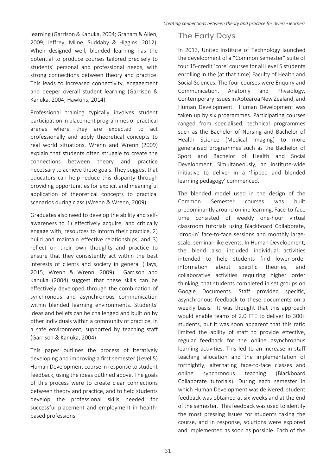learning (Garrison & Kanuka, 2004; Graham & Allen, 2009; Jeffrey, Milne, Suddaby & Higgins, 2012). When designed well, blended learning has the potential to produce courses tailored precisely to students' personal and professional needs, with strong connections between theory and practice. This leads to increased connectivity, engagement and deeper overall student learning (Garrison & Kanuka, 2004; Hawkins, 2014).

Professional training typically involves student participation in placement programmes or practical arenas where they are expected to act professionally and apply theoretical concepts to real world situations. Wrenn and Wrenn (2009) explain that students often struggle to create the connections between theory and practice necessary to achieve these goals. They suggest that educators can help reduce this disparity through providing opportunities for explicit and meaningful application of theoretical concepts to practical scenarios during class (Wrenn & Wrenn, 2009).

Graduates also need to develop the ability and self‐ awareness to 1) effectively acquire, and critically engage with, resources to inform their practice, 2) build and maintain effective relationships, and 3) reflect on their own thoughts and practice to ensure that they consistently act within the best interests of clients and society in general (Hays, 2015; Wrenn & Wrenn, 2009). Garrison and Kanuka (2004) suggest that these skills can be effectively developed through the combination of synchronous and asynchronous communication within blended learning environments. Students' ideas and beliefs can be challenged and built on by other individuals within a community of practice, in a safe environment, supported by teaching staff (Garrison & Kanuka, 2004).

This paper outlines the process of iteratively developing and improving a first semester (Level 5) Human Development course in response to student feedback, using the ideas outlined above. The goals of this process were to create clear connections between theory and practice, and to help students develop the professional skills needed for successful placement and employment in healthbased professions.

#### The Early Days

In 2013, Unitec Institute of Technology launched the development of a "Common Semester" suite of four 15‐credit 'core' courses for all Level 5 students enrolling in the (at that time) Faculty of Health and Social Sciences. The four courses were Enquiry and Communication, Anatomy and Physiology, Contemporary Issues in Aotearoa New Zealand, and Human Development. Human Development was taken up by six programmes. Participating courses ranged from specialised, technical programmes such as the Bachelor of Nursing and Bachelor of Health Science (Medical Imaging) to more generalised programmes such as the Bachelor of Sport and Bachelor of Health and Social Development. Simultaneously, an institute‐wide initiative to deliver in a 'flipped and blended learning pedagogy' commenced.

The blended model used in the design of the Common Semester courses was built predominantly around online learning. Face‐to‐face time consisted of weekly one‐hour virtual classroom tutorials using Blackboard Collaborate, 'drop‐in' face‐to‐face sessions and monthly large‐ scale, seminar‐like events. In Human Development, the blend also included individual activities intended to help students find lower‐order information about specific theories, and collaborative activities requiring higher order thinking, that students completed in set groups on Google Documents. Staff provided specific, asynchronous feedback to these documents on a weekly basis. It was thought that this approach would enable teams of 2.0 FTE to deliver to 300+ students, but it was soon apparent that this ratio limited the ability of staff to provide effective, regular feedback for the online asynchronous learning activities. This led to an increase in staff teaching allocation and the implementation of fortnightly, alternating face‐to‐face classes and online synchronous teaching (Blackboard Collaborate tutorials). During each semester in which Human Development was delivered, student feedback was obtained at six weeks and at the end of the semester. This feedback was used to identify the most pressing issues for students taking the course, and in response, solutions were explored and implemented as soon as possible. Each of the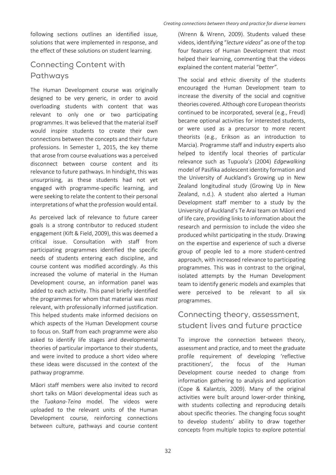following sections outlines an identified issue, solutions that were implemented in response, and the effect of these solutions on student learning.

#### Connecting Content with Pathways

The Human Development course was originally designed to be very generic, in order to avoid overloading students with content that was relevant to only one or two participating programmes. It was believed that the material itself would inspire students to create their own connections between the concepts and their future professions. In Semester 1, 2015, the key theme that arose from course evaluations was a perceived disconnect between course content and its relevance to future pathways. In hindsight, this was unsurprising, as these students had not yet engaged with programme‐specific learning, and were seeking to relate the content to their personal interpretations of what the profession would entail.

As perceived lack of relevance to future career goals is a strong contributor to reduced student engagement (Kift & Field, 2009), this was deemed a critical issue. Consultation with staff from participating programmes identified the specific needs of students entering each discipline, and course content was modified accordingly. As this increased the volume of material in the Human Development course, an information panel was added to each activity. This panel briefly identified the programmes for whom that material was *most*  relevant, with professionally informed justification. This helped students make informed decisions on which aspects of the Human Development course to focus on. Staff from each programme were also asked to identify life stages and developmental theories of particular importance to their students, and were invited to produce a short video where these ideas were discussed in the context of the pathway programme.

Māori staff members were also invited to record short talks on Māori developmental ideas such as the *Tuakana‐Teina*  model. The videos were uploaded to the relevant units of the Human Development course, reinforcing connections between culture, pathways and course content (Wrenn & Wrenn, 2009). Students valued these videos, identifying "*lecture videos*" as one of the top four features of Human Development that most helped their learning, commenting that the videos explained the content material "*better"*.

The social and ethnic diversity of the students encouraged the Human Development team to increase the diversity of the social and cognitive theories covered. Although core European theorists continued to be incorporated, several (e.g., Freud) became optional activities for interested students, or were used as a precursor to more recent theorists (e.g., Erikson as an introduction to Marcia). Programme staff and industry experts also helped to identify local theories of particular relevance such as Tupuola's (2004) *Edgewalking*  model of Pasifika adolescent identity formation and the University of Auckland's Growing up in New Zealand longitudinal study (Growing Up in New Zealand, n.d.). A student also alerted a Human Development staff member to a study by the University of Auckland's Te Arai team on Māori end of life care, providing links to information about the research and permission to include the video she produced whilst participating in the study. Drawing on the expertise and experience of such a diverse group of people led to a more student‐centred approach, with increased relevance to participating programmes. This was in contrast to the original, isolated attempts by the Human Development team to identify generic models and examples that were perceived to be relevant to all six programmes.

#### Connecting theory, assessment, student lives and future practice

To improve the connection between theory, assessment and practice, and to meet the graduate profile requirement of developing 'reflective practitioners', the focus of the Human Development course needed to change from information gathering to analysis and application (Cope & Kalantzis, 2009). Many of the original activities were built around lower‐order thinking, with students collecting and reproducing details about specific theories. The changing focus sought to develop students' ability to draw together concepts from multiple topics to explore potential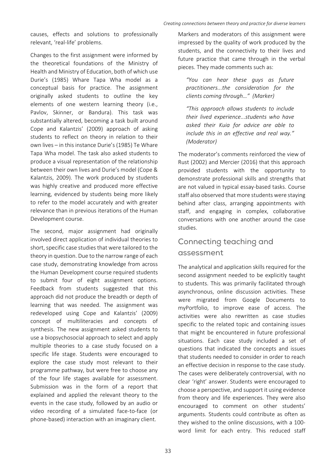causes, effects and solutions to professionally relevant, 'real‐life' problems.

Changes to the first assignment were informed by the theoretical foundations of the Ministry of Health and Ministry of Education, both of which use Durie's (1985) Whare Tapa Wha model as a conceptual basis for practice. The assignment originally asked students to outline the key elements of one western learning theory (i.e., Pavlov, Skinner, or Bandura). This task was substantially altered, becoming a task built around Cope and Kalantzis' (2009) approach of asking students to reflect on theory in relation to their own lives – in this instance Durie's (1985) Te Whare Tapa Wha model. The task also asked students to produce a visual representation of the relationship between their own lives and Durie's model (Cope & Kalantzis, 2009). The work produced by students was highly creative and produced more effective learning, evidenced by students being more likely to refer to the model accurately and with greater relevance than in previous iterations of the Human Development course.

The second, major assignment had originally involved direct application of individual theories to short, specific case studies that were tailored to the theory in question. Due to the narrow range of each case study, demonstrating knowledge from across the Human Development course required students to submit four of eight assignment options. Feedback from students suggested that this approach did not produce the breadth or depth of learning that was needed. The assignment was redeveloped using Cope and Kalantzis' (2009) concept of multiliteracies and concepts of synthesis. The new assignment asked students to use a biopsychosocial approach to select and apply multiple theories to a case study focused on a specific life stage. Students were encouraged to explore the case study most relevant to their programme pathway, but were free to choose any of the four life stages available for assessment. Submission was in the form of a report that explained and applied the relevant theory to the events in the case study, followed by an audio or video recording of a simulated face‐to‐face (or phone‐based) interaction with an imaginary client.

Markers and moderators of this assignment were impressed by the quality of work produced by the students, and the connectivity to their lives and future practice that came through in the verbal pieces. They made comments such as:

*"You can hear these guys as future practitioners...the consideration for the clients coming through…" (Marker)* 

*"This approach allows students to include their lived experience...students who have asked their Kuia for advice are able to include this in an effective and real way." (Moderator)* 

The moderator's comments reinforced the view of Rust (2002) and Mercier (2016) that this approach provided students with the opportunity to demonstrate professional skills and strengths that are not valued in typical essay‐based tasks. Course staff also observed that more students were staying behind after class, arranging appointments with staff, and engaging in complex, collaborative conversations with one another around the case studies.

#### Connecting teaching and assessment

The analytical and application skills required for the second assignment needed to be explicitly taught to students. This was primarily facilitated through asynchronous, online discussion activities. These were migrated from Google Documents to myPortfolio, to improve ease of access. The activities were also rewritten as case studies specific to the related topic and containing issues that might be encountered in future professional situations. Each case study included a set of questions that indicated the concepts and issues that students needed to consider in order to reach an effective decision in response to the case study. The cases were deliberately controversial, with no clear 'right' answer. Students were encouraged to choose a perspective, and support it using evidence from theory and life experiences. They were also encouraged to comment on other students' arguments. Students could contribute as often as they wished to the online discussions, with a 100‐ word limit for each entry. This reduced staff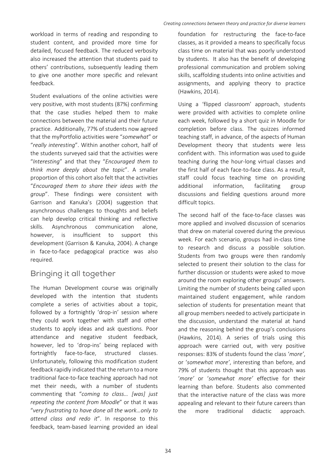workload in terms of reading and responding to student content, and provided more time for detailed, focused feedback. The reduced verbosity also increased the attention that students paid to others' contributions, subsequently leading them to give one another more specific and relevant feedback.

Student evaluations of the online activities were very positive, with most students (87%) confirming that the case studies helped them to make connections between the material and their future practice. Additionally, 77% of students now agreed that the myPortfolio activities were "*somewhat*" or "*really interesting*". Within another cohort, half of the students surveyed said that the activities were "*Interesting*" and that they "*Encouraged them to think more deeply about the topic*". A smaller proportion of this cohort also felt that the activities "*Encouraged them to share their ideas with the group*". These findings were consistent with Garrison and Kanuka's (2004) suggestion that asynchronous challenges to thoughts and beliefs can help develop critical thinking and reflective skills. Asynchronous communication alone, however, is insufficient to support this development (Garrison & Kanuka, 2004). A change in face‐to‐face pedagogical practice was also required.

#### Bringing it all together

The Human Development course was originally developed with the intention that students complete a series of activities about a topic, followed by a fortnightly 'drop-in' session where they could work together with staff and other students to apply ideas and ask questions. Poor attendance and negative student feedback, however, led to 'drop-ins' being replaced with fortnightly face-to-face, structured classes. Unfortunately, following this modification student feedback rapidly indicated that the return to a more traditional face‐to‐face teaching approach had not met their needs, with a number of students commenting that "*coming to class… [was] just repeating the content from Moodle*" or that it was "*very frustrating to have done all the work…only to attend class and redo it*". In response to this feedback, team‐based learning provided an ideal

foundation for restructuring the face-to-face classes, as it provided a means to specifically focus class time on material that was poorly understood by students. It also has the benefit of developing professional communication and problem solving skills, scaffolding students into online activities and assignments, and applying theory to practice (Hawkins, 2014).

Using a 'flipped classroom' approach, students were provided with activities to complete online each week, followed by a short quiz in Moodle for completion before class. The quizzes informed teaching staff, in advance, of the aspects of Human Development theory that students were less confident with. This information was used to guide teaching during the hour‐long virtual classes and the first half of each face‐to‐face class. As a result, staff could focus teaching time on providing additional information, facilitating group discussions and fielding questions around more difficult topics.

The second half of the face-to-face classes was more applied and involved discussion of scenarios that drew on material covered during the previous week. For each scenario, groups had in‐class time to research and discuss a possible solution. Students from two groups were then randomly selected to present their solution to the class for further discussion or students were asked to move around the room exploring other groups' answers. Limiting the number of students being called upon maintained student engagement, while random selection of students for presentation meant that all group members needed to actively participate in the discussion, understand the material at hand and the reasoning behind the group's conclusions (Hawkins, 2014). A series of trials using this approach were carried out, with very positive responses: 83% of students found the class '*more'*, or '*somewhat more'*, interesting than before, and 79% of students thought that this approach was '*more'*  or '*somewhat more'*  effective for their learning than before. Students also commented that the interactive nature of the class was more appealing and relevant to their future careers than the more traditional didactic approach.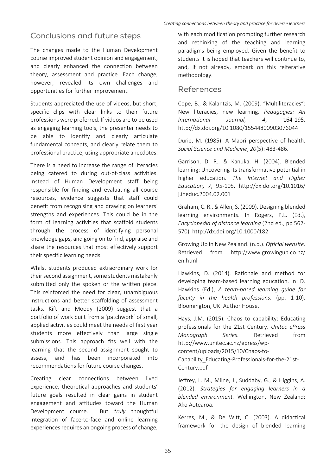#### Conclusions and future steps

The changes made to the Human Development course improved student opinion and engagement, and clearly enhanced the connection between theory, assessment and practice. Each change, however, revealed its own challenges and opportunities for further improvement.

Students appreciated the use of videos, but short, specific clips with clear links to their future professions were preferred. If videos are to be used as engaging learning tools, the presenter needs to be able to identify and clearly articulate fundamental concepts, and clearly relate them to professional practice, using appropriate anecdotes.

There is a need to increase the range of literacies being catered to during out-of-class activities. Instead of Human Development staff being responsible for finding and evaluating all course resources, evidence suggests that staff could benefit from recognising and drawing on learners' strengths and experiences. This could be in the form of learning activities that scaffold students through the process of identifying personal knowledge gaps, and going on to find, appraise and share the resources that most effectively support their specific learning needs.

Whilst students produced extraordinary work for their second assignment, some students mistakenly submitted only the spoken or the written piece. This reinforced the need for clear, unambiguous instructions and better scaffolding of assessment tasks. Kift and Moody (2009) suggest that a portfolio of work built from a 'patchwork' of small, applied activities could meet the needs of first year students more effectively than large single submissions. This approach fits well with the learning that the second assignment sought to assess, and has been incorporated into recommendations for future course changes.

Creating clear connections between lived experience, theoretical approaches and students' future goals resulted in clear gains in student engagement and attitudes toward the Human Development course. But *truly*  thoughtful integration of face-to-face and online learning experiences requires an ongoing process of change,

with each modification prompting further research and rethinking of the teaching and learning paradigms being employed. Given the benefit to students it is hoped that teachers will continue to, and, if not already, embark on this reiterative methodology.

#### References

Cope, B., & Kalantzis, M. (2009). "Multiliteracies": New literacies, new learning. *Pedagogies: An International Journal, 4*, 164‐195. http://dx.doi.org/10.1080/15544800903076044

Durie, M. (1985). A Maori perspective of health. *Social Science and Medicine*, *20*(5): 483‐486.

Garrison, D. R., & Kanuka, H. (2004). Blended learning: Uncovering its transformative potential in higher education. *The Internet and Higher Education, 7*, 95‐105. http://dx.doi.org/10.1016/ j.iheduc.2004.02.001

Graham, C. R., & Allen, S. (2009). Designing blended learning environments. In Rogers, P.L. (Ed.), *Encyclopedia of distance learning* (2nd ed., pp 562‐ 570). http://dx.doi.org/10.1000/182

Growing Up in New Zealand. (n.d.). *Official website.*  Retrieved from http://www.growingup.co.nz/ en.html

Hawkins, D. (2014). Rationale and method for developing team‐based learning education. In: D. Hawkins (Ed.), *A team‐based learning guide for faculty in the health professions*. (pp. 1‐10). Bloomington, UK: Author House.

Hays, J.M. (2015). Chaos to capability: Educating professionals for the 21st Century. *Unitec ePress Monograph Series*. Retrieved from http://www.unitec.ac.nz/epress/wp‐ content/uploads/2015/10/Chaos‐to‐

Capability\_Educating‐Professionals‐for‐the‐21st‐ Century.pdf

Jeffrey, L. M., Milne, J., Suddaby, G., & Higgins, A. (2012). *Strategies for engaging learners in a blended environment.*  Wellington, New Zealand: Ako Aotearoa.

Kerres, M., & De Witt, C. (2003). A didactical framework for the design of blended learning